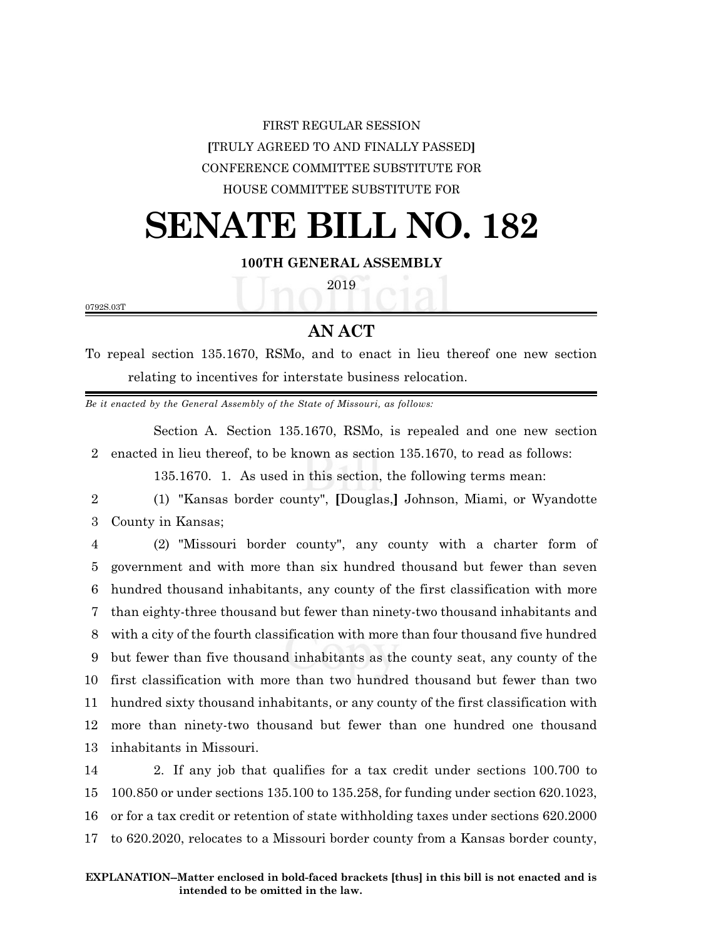## FIRST REGULAR SESSION **[**TRULY AGREED TO AND FINALLY PASSED**]** CONFERENCE COMMITTEE SUBSTITUTE FOR HOUSE COMMITTEE SUBSTITUTE FOR

# **SENATE BILL NO. 182**

#### **100TH GENERAL ASSEMBLY**

2019

0792S.03T

### **AN ACT**

To repeal section 135.1670, RSMo, and to enact in lieu thereof one new section relating to incentives for interstate business relocation.

*Be it enacted by the General Assembly of the State of Missouri, as follows:*

Section A. Section 135.1670, RSMo, is repealed and one new section 2 enacted in lieu thereof, to be known as section 135.1670, to read as follows:

135.1670. 1. As used in this section, the following terms mean:

2 (1) "Kansas border county", **[**Douglas,**]** Johnson, Miami, or Wyandotte 3 County in Kansas;

 (2) "Missouri border county", any county with a charter form of government and with more than six hundred thousand but fewer than seven hundred thousand inhabitants, any county of the first classification with more than eighty-three thousand but fewer than ninety-two thousand inhabitants and with a city of the fourth classification with more than four thousand five hundred but fewer than five thousand inhabitants as the county seat, any county of the first classification with more than two hundred thousand but fewer than two hundred sixty thousand inhabitants, or any county of the first classification with more than ninety-two thousand but fewer than one hundred one thousand inhabitants in Missouri.

 2. If any job that qualifies for a tax credit under sections 100.700 to 100.850 or under sections 135.100 to 135.258, for funding under section 620.1023, or for a tax credit or retention of state withholding taxes under sections 620.2000 to 620.2020, relocates to a Missouri border county from a Kansas border county,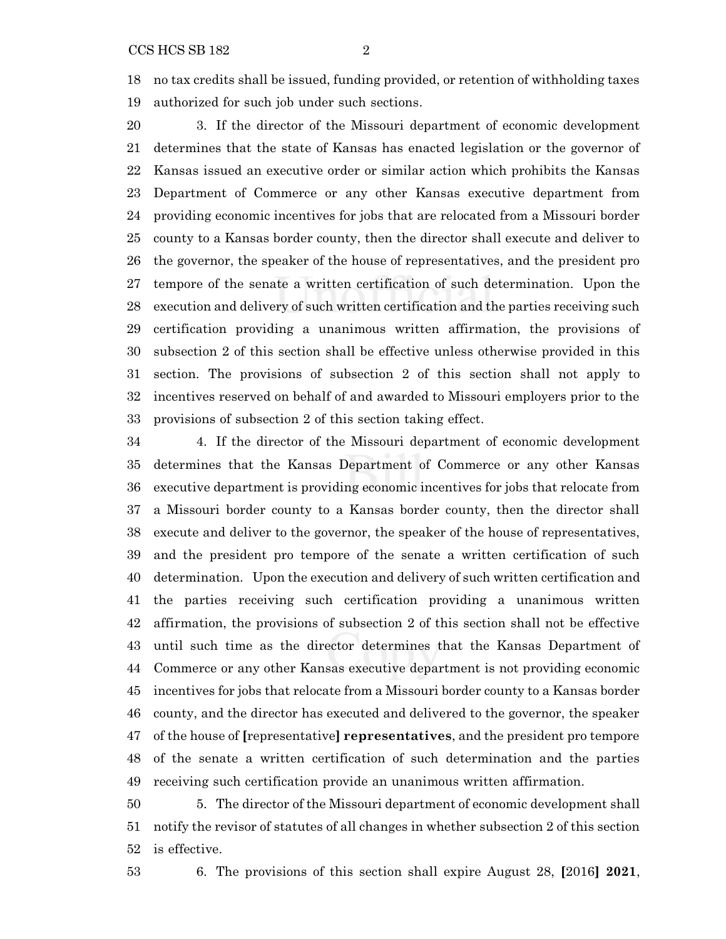no tax credits shall be issued, funding provided, or retention of withholding taxes authorized for such job under such sections.

 3. If the director of the Missouri department of economic development determines that the state of Kansas has enacted legislation or the governor of Kansas issued an executive order or similar action which prohibits the Kansas Department of Commerce or any other Kansas executive department from providing economic incentives for jobs that are relocated from a Missouri border county to a Kansas border county, then the director shall execute and deliver to the governor, the speaker of the house of representatives, and the president pro tempore of the senate a written certification of such determination. Upon the execution and delivery of such written certification and the parties receiving such certification providing a unanimous written affirmation, the provisions of subsection 2 of this section shall be effective unless otherwise provided in this section. The provisions of subsection 2 of this section shall not apply to incentives reserved on behalf of and awarded to Missouri employers prior to the provisions of subsection 2 of this section taking effect.

 4. If the director of the Missouri department of economic development determines that the Kansas Department of Commerce or any other Kansas executive department is providing economic incentives for jobs that relocate from a Missouri border county to a Kansas border county, then the director shall execute and deliver to the governor, the speaker of the house of representatives, and the president pro tempore of the senate a written certification of such determination. Upon the execution and delivery of such written certification and the parties receiving such certification providing a unanimous written affirmation, the provisions of subsection 2 of this section shall not be effective until such time as the director determines that the Kansas Department of Commerce or any other Kansas executive department is not providing economic incentives for jobs that relocate from a Missouri border county to a Kansas border county, and the director has executed and delivered to the governor, the speaker of the house of **[**representative**] representatives**, and the president pro tempore of the senate a written certification of such determination and the parties receiving such certification provide an unanimous written affirmation.

 5. The director of the Missouri department of economic development shall notify the revisor of statutes of all changes in whether subsection 2 of this section is effective.

6. The provisions of this section shall expire August 28, **[**2016**] 2021**,